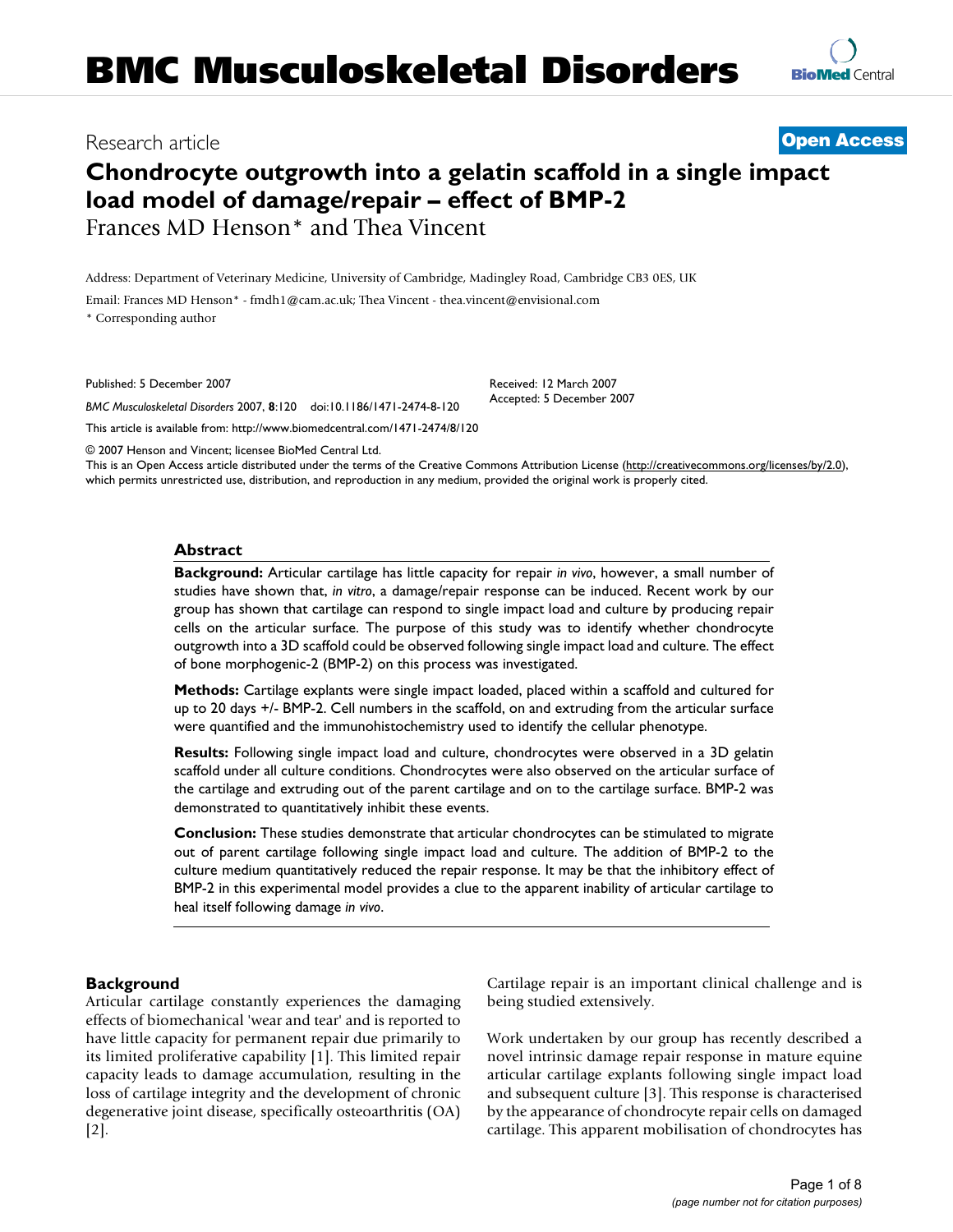# Research article **[Open Access](http://www.biomedcentral.com/info/about/charter/)**

**[BioMed](http://www.biomedcentral.com/)** Central

# **Chondrocyte outgrowth into a gelatin scaffold in a single impact load model of damage/repair – effect of BMP-2** Frances MD Henson\* and Thea Vincent

Address: Department of Veterinary Medicine, University of Cambridge, Madingley Road, Cambridge CB3 0ES, UK

Email: Frances MD Henson\* - fmdh1@cam.ac.uk; Thea Vincent - thea.vincent@envisional.com

\* Corresponding author

Published: 5 December 2007

*BMC Musculoskeletal Disorders* 2007, **8**:120 doi:10.1186/1471-2474-8-120

[This article is available from: http://www.biomedcentral.com/1471-2474/8/120](http://www.biomedcentral.com/1471-2474/8/120)

© 2007 Henson and Vincent; licensee BioMed Central Ltd.

This is an Open Access article distributed under the terms of the Creative Commons Attribution License [\(http://creativecommons.org/licenses/by/2.0\)](http://creativecommons.org/licenses/by/2.0), which permits unrestricted use, distribution, and reproduction in any medium, provided the original work is properly cited.

Received: 12 March 2007 Accepted: 5 December 2007

#### **Abstract**

**Background:** Articular cartilage has little capacity for repair *in vivo*, however, a small number of studies have shown that, *in vitro*, a damage/repair response can be induced. Recent work by our group has shown that cartilage can respond to single impact load and culture by producing repair cells on the articular surface. The purpose of this study was to identify whether chondrocyte outgrowth into a 3D scaffold could be observed following single impact load and culture. The effect of bone morphogenic-2 (BMP-2) on this process was investigated.

**Methods:** Cartilage explants were single impact loaded, placed within a scaffold and cultured for up to 20 days +/- BMP-2. Cell numbers in the scaffold, on and extruding from the articular surface were quantified and the immunohistochemistry used to identify the cellular phenotype.

**Results:** Following single impact load and culture, chondrocytes were observed in a 3D gelatin scaffold under all culture conditions. Chondrocytes were also observed on the articular surface of the cartilage and extruding out of the parent cartilage and on to the cartilage surface. BMP-2 was demonstrated to quantitatively inhibit these events.

**Conclusion:** These studies demonstrate that articular chondrocytes can be stimulated to migrate out of parent cartilage following single impact load and culture. The addition of BMP-2 to the culture medium quantitatively reduced the repair response. It may be that the inhibitory effect of BMP-2 in this experimental model provides a clue to the apparent inability of articular cartilage to heal itself following damage *in vivo*.

#### **Background**

Articular cartilage constantly experiences the damaging effects of biomechanical 'wear and tear' and is reported to have little capacity for permanent repair due primarily to its limited proliferative capability [1]. This limited repair capacity leads to damage accumulation, resulting in the loss of cartilage integrity and the development of chronic degenerative joint disease, specifically osteoarthritis (OA) [2].

Cartilage repair is an important clinical challenge and is being studied extensively.

Work undertaken by our group has recently described a novel intrinsic damage repair response in mature equine articular cartilage explants following single impact load and subsequent culture [3]. This response is characterised by the appearance of chondrocyte repair cells on damaged cartilage. This apparent mobilisation of chondrocytes has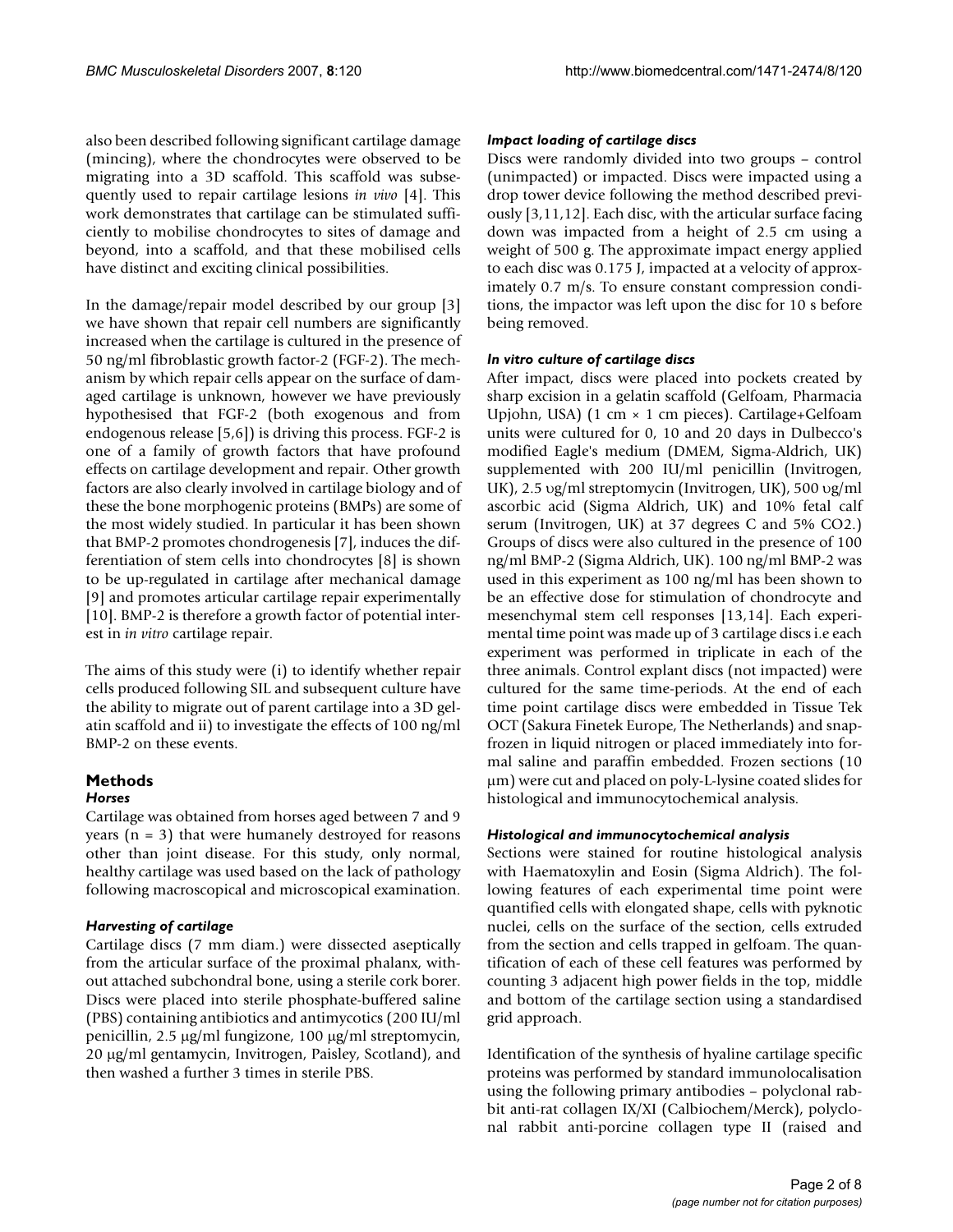also been described following significant cartilage damage (mincing), where the chondrocytes were observed to be migrating into a 3D scaffold. This scaffold was subsequently used to repair cartilage lesions *in vivo* [4]. This work demonstrates that cartilage can be stimulated sufficiently to mobilise chondrocytes to sites of damage and beyond, into a scaffold, and that these mobilised cells have distinct and exciting clinical possibilities.

In the damage/repair model described by our group [3] we have shown that repair cell numbers are significantly increased when the cartilage is cultured in the presence of 50 ng/ml fibroblastic growth factor-2 (FGF-2). The mechanism by which repair cells appear on the surface of damaged cartilage is unknown, however we have previously hypothesised that FGF-2 (both exogenous and from endogenous release [5,6]) is driving this process. FGF-2 is one of a family of growth factors that have profound effects on cartilage development and repair. Other growth factors are also clearly involved in cartilage biology and of these the bone morphogenic proteins (BMPs) are some of the most widely studied. In particular it has been shown that BMP-2 promotes chondrogenesis [7], induces the differentiation of stem cells into chondrocytes [8] is shown to be up-regulated in cartilage after mechanical damage [9] and promotes articular cartilage repair experimentally [10]. BMP-2 is therefore a growth factor of potential interest in *in vitro* cartilage repair.

The aims of this study were (i) to identify whether repair cells produced following SIL and subsequent culture have the ability to migrate out of parent cartilage into a 3D gelatin scaffold and ii) to investigate the effects of 100 ng/ml BMP-2 on these events.

#### **Methods** *Horses*

Cartilage was obtained from horses aged between 7 and 9 years  $(n = 3)$  that were humanely destroyed for reasons other than joint disease. For this study, only normal, healthy cartilage was used based on the lack of pathology following macroscopical and microscopical examination.

# *Harvesting of cartilage*

Cartilage discs (7 mm diam.) were dissected aseptically from the articular surface of the proximal phalanx, without attached subchondral bone, using a sterile cork borer. Discs were placed into sterile phosphate-buffered saline (PBS) containing antibiotics and antimycotics (200 IU/ml penicillin, 2.5 μg/ml fungizone, 100 μg/ml streptomycin, 20 μg/ml gentamycin, Invitrogen, Paisley, Scotland), and then washed a further 3 times in sterile PBS.

# *Impact loading of cartilage discs*

Discs were randomly divided into two groups – control (unimpacted) or impacted. Discs were impacted using a drop tower device following the method described previously [3,11,12]. Each disc, with the articular surface facing down was impacted from a height of 2.5 cm using a weight of 500 g. The approximate impact energy applied to each disc was 0.175 J, impacted at a velocity of approximately 0.7 m/s. To ensure constant compression conditions, the impactor was left upon the disc for 10 s before being removed.

# *In vitro culture of cartilage discs*

After impact, discs were placed into pockets created by sharp excision in a gelatin scaffold (Gelfoam, Pharmacia Upjohn, USA) (1 cm × 1 cm pieces). Cartilage+Gelfoam units were cultured for 0, 10 and 20 days in Dulbecco's modified Eagle's medium (DMEM, Sigma-Aldrich, UK) supplemented with 200 IU/ml penicillin (Invitrogen, UK), 2.5 υg/ml streptomycin (Invitrogen, UK), 500 υg/ml ascorbic acid (Sigma Aldrich, UK) and 10% fetal calf serum (Invitrogen, UK) at 37 degrees C and 5% CO2.) Groups of discs were also cultured in the presence of 100 ng/ml BMP-2 (Sigma Aldrich, UK). 100 ng/ml BMP-2 was used in this experiment as 100 ng/ml has been shown to be an effective dose for stimulation of chondrocyte and mesenchymal stem cell responses [13,14]. Each experimental time point was made up of 3 cartilage discs i.e each experiment was performed in triplicate in each of the three animals. Control explant discs (not impacted) were cultured for the same time-periods. At the end of each time point cartilage discs were embedded in Tissue Tek OCT (Sakura Finetek Europe, The Netherlands) and snapfrozen in liquid nitrogen or placed immediately into formal saline and paraffin embedded. Frozen sections (10 μm) were cut and placed on poly-L-lysine coated slides for histological and immunocytochemical analysis.

# *Histological and immunocytochemical analysis*

Sections were stained for routine histological analysis with Haematoxylin and Eosin (Sigma Aldrich). The following features of each experimental time point were quantified cells with elongated shape, cells with pyknotic nuclei, cells on the surface of the section, cells extruded from the section and cells trapped in gelfoam. The quantification of each of these cell features was performed by counting 3 adjacent high power fields in the top, middle and bottom of the cartilage section using a standardised grid approach.

Identification of the synthesis of hyaline cartilage specific proteins was performed by standard immunolocalisation using the following primary antibodies – polyclonal rabbit anti-rat collagen IX/XI (Calbiochem/Merck), polyclonal rabbit anti-porcine collagen type II (raised and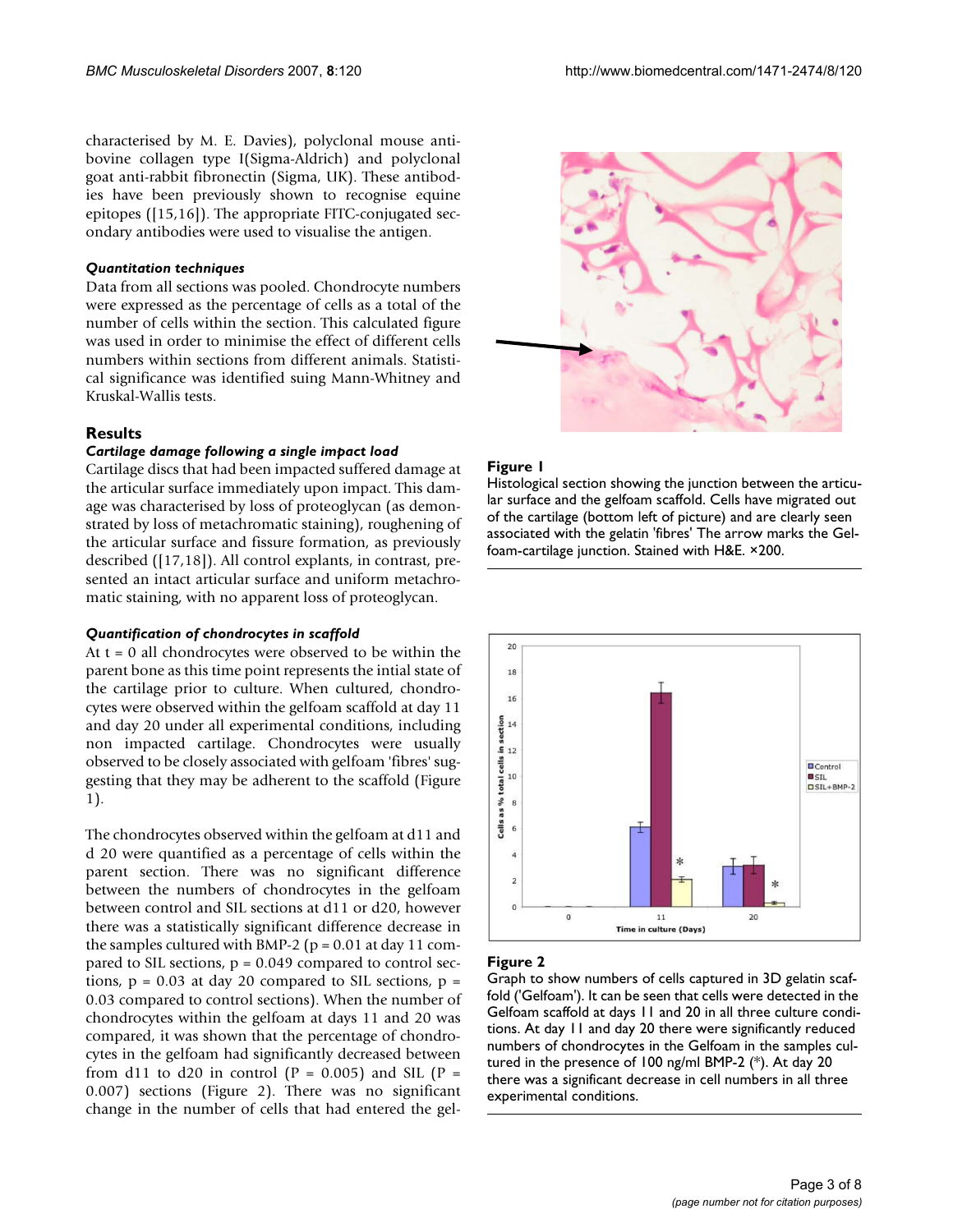characterised by M. E. Davies), polyclonal mouse antibovine collagen type I(Sigma-Aldrich) and polyclonal goat anti-rabbit fibronectin (Sigma, UK). These antibodies have been previously shown to recognise equine epitopes ([15,16]). The appropriate FITC-conjugated secondary antibodies were used to visualise the antigen.

#### *Quantitation techniques*

Data from all sections was pooled. Chondrocyte numbers were expressed as the percentage of cells as a total of the number of cells within the section. This calculated figure was used in order to minimise the effect of different cells numbers within sections from different animals. Statistical significance was identified suing Mann-Whitney and Kruskal-Wallis tests.

#### **Results**

#### *Cartilage damage following a single impact load*

Cartilage discs that had been impacted suffered damage at the articular surface immediately upon impact. This damage was characterised by loss of proteoglycan (as demonstrated by loss of metachromatic staining), roughening of the articular surface and fissure formation, as previously described ([17,18]). All control explants, in contrast, presented an intact articular surface and uniform metachromatic staining, with no apparent loss of proteoglycan.

#### *Quantification of chondrocytes in scaffold*

At  $t = 0$  all chondrocytes were observed to be within the parent bone as this time point represents the intial state of the cartilage prior to culture. When cultured, chondrocytes were observed within the gelfoam scaffold at day 11 and day 20 under all experimental conditions, including non impacted cartilage. Chondrocytes were usually observed to be closely associated with gelfoam 'fibres' suggesting that they may be adherent to the scaffold (Figure 1).

The chondrocytes observed within the gelfoam at d11 and d 20 were quantified as a percentage of cells within the parent section. There was no significant difference between the numbers of chondrocytes in the gelfoam between control and SIL sections at d11 or d20, however there was a statistically significant difference decrease in the samples cultured with BMP-2 ( $p = 0.01$  at day 11 compared to SIL sections, p = 0.049 compared to control sections,  $p = 0.03$  at day 20 compared to SIL sections,  $p =$ 0.03 compared to control sections). When the number of chondrocytes within the gelfoam at days 11 and 20 was compared, it was shown that the percentage of chondrocytes in the gelfoam had significantly decreased between from d11 to d20 in control ( $P = 0.005$ ) and SIL ( $P =$ 0.007) sections (Figure 2). There was no significant change in the number of cells that had entered the gel-



#### Figure 1

Histological section showing the junction between the articular surface and the gelfoam scaffold. Cells have migrated out of the cartilage (bottom left of picture) and are clearly seen associated with the gelatin 'fibres' The arrow marks the Gelfoam-cartilage junction. Stained with H&E. ×200.



#### Figure 2

Graph to show numbers of cells captured in 3D gelatin scaffold ('Gelfoam'). It can be seen that cells were detected in the Gelfoam scaffold at days 11 and 20 in all three culture conditions. At day 11 and day 20 there were significantly reduced numbers of chondrocytes in the Gelfoam in the samples cultured in the presence of 100 ng/ml BMP-2 (\*). At day 20 there was a significant decrease in cell numbers in all three experimental conditions.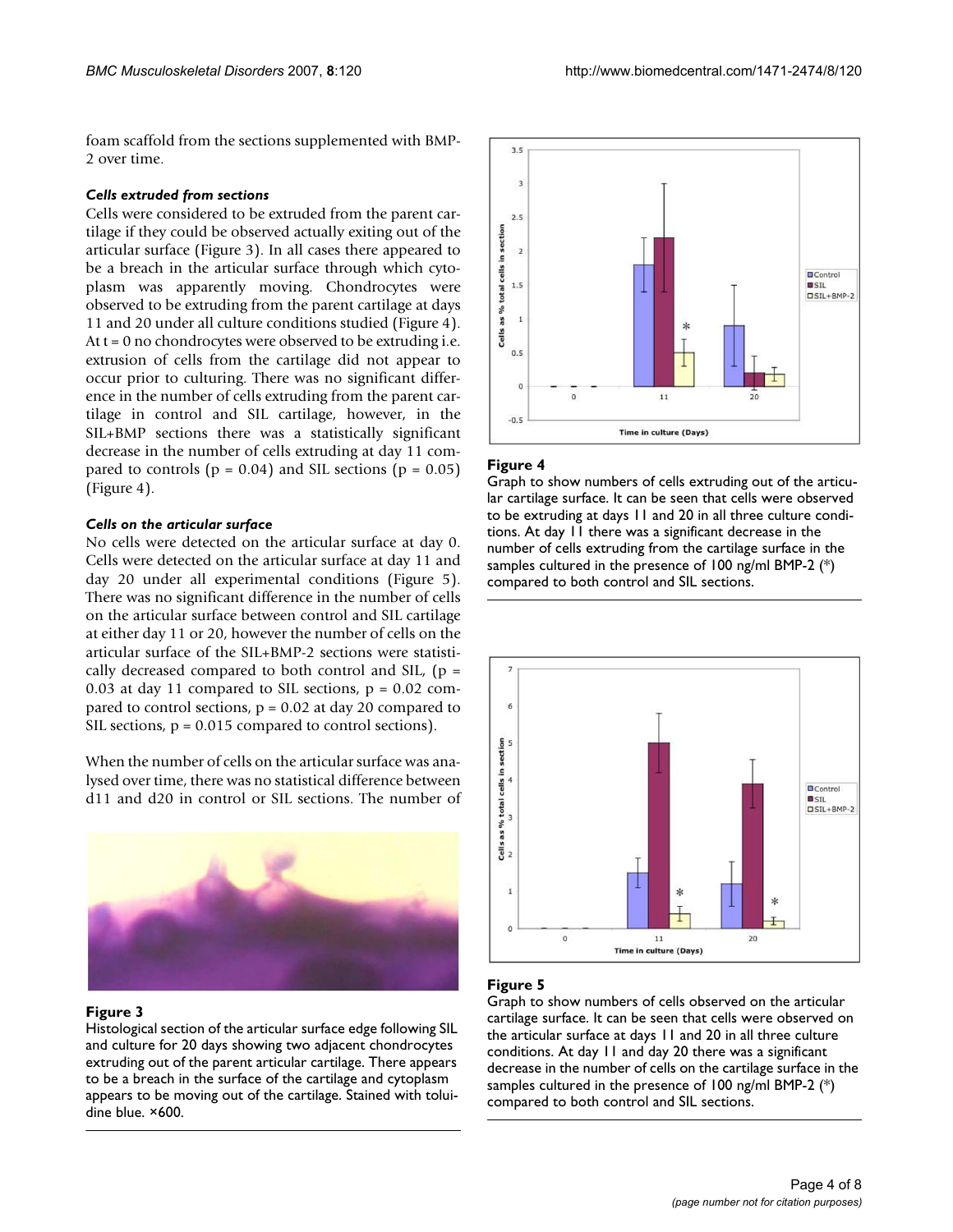foam scaffold from the sections supplemented with BMP-2 over time.

#### *Cells extruded from sections*

Cells were considered to be extruded from the parent cartilage if they could be observed actually exiting out of the articular surface (Figure 3). In all cases there appeared to be a breach in the articular surface through which cytoplasm was apparently moving. Chondrocytes were observed to be extruding from the parent cartilage at days 11 and 20 under all culture conditions studied (Figure 4). At  $t = 0$  no chondrocytes were observed to be extruding i.e. extrusion of cells from the cartilage did not appear to occur prior to culturing. There was no significant difference in the number of cells extruding from the parent cartilage in control and SIL cartilage, however, in the SIL+BMP sections there was a statistically significant decrease in the number of cells extruding at day 11 compared to controls ( $p = 0.04$ ) and SIL sections ( $p = 0.05$ ) (Figure 4).

#### *Cells on the articular surface*

No cells were detected on the articular surface at day 0. Cells were detected on the articular surface at day 11 and day 20 under all experimental conditions (Figure 5). There was no significant difference in the number of cells on the articular surface between control and SIL cartilage at either day 11 or 20, however the number of cells on the articular surface of the SIL+BMP-2 sections were statistically decreased compared to both control and SIL,  $(p =$ 0.03 at day 11 compared to SIL sections,  $p = 0.02$  compared to control sections, p = 0.02 at day 20 compared to SIL sections,  $p = 0.015$  compared to control sections).

When the number of cells on the articular surface was analysed over time, there was no statistical difference between d11 and d20 in control or SIL sections. The number of



#### Figure 3

Histological section of the articular surface edge following SIL and culture for 20 days showing two adjacent chondrocytes extruding out of the parent articular cartilage. There appears to be a breach in the surface of the cartilage and cytoplasm appears to be moving out of the cartilage. Stained with toluidine blue. ×600.



#### Figure 4

Graph to show numbers of cells extruding out of the articular cartilage surface. It can be seen that cells were observed to be extruding at days 11 and 20 in all three culture conditions. At day 11 there was a significant decrease in the number of cells extruding from the cartilage surface in the samples cultured in the presence of 100 ng/ml BMP-2 (\*) compared to both control and SIL sections.



# Figure 5

Graph to show numbers of cells observed on the articular cartilage surface. It can be seen that cells were observed on the articular surface at days 11 and 20 in all three culture conditions. At day 11 and day 20 there was a significant decrease in the number of cells on the cartilage surface in the samples cultured in the presence of 100 ng/ml BMP-2 (\*) compared to both control and SIL sections.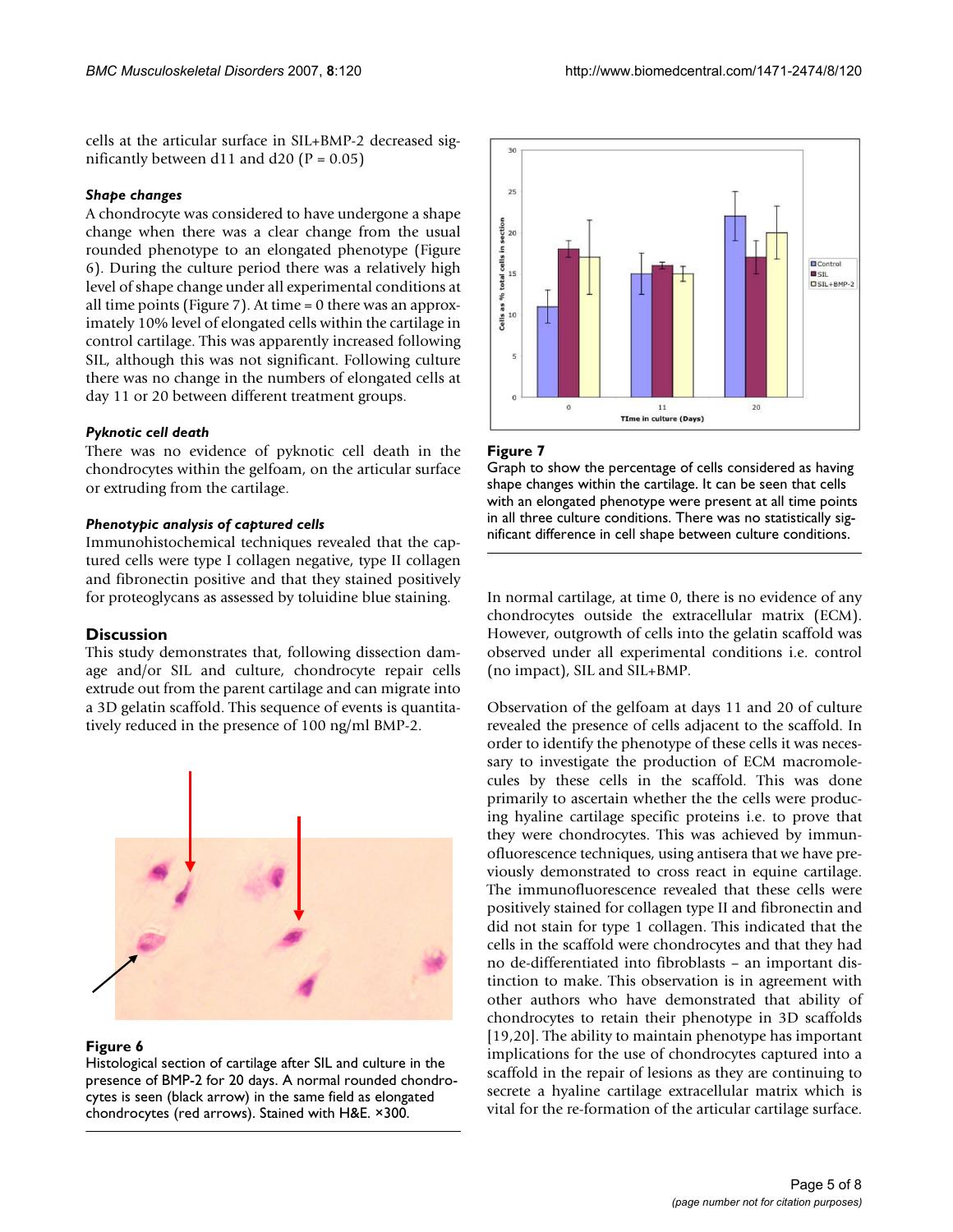cells at the articular surface in SIL+BMP-2 decreased significantly between d11 and d20 ( $P = 0.05$ )

### *Shape changes*

A chondrocyte was considered to have undergone a shape change when there was a clear change from the usual rounded phenotype to an elongated phenotype (Figure 6). During the culture period there was a relatively high level of shape change under all experimental conditions at all time points (Figure 7). At time = 0 there was an approximately 10% level of elongated cells within the cartilage in control cartilage. This was apparently increased following SIL, although this was not significant. Following culture there was no change in the numbers of elongated cells at day 11 or 20 between different treatment groups.

### *Pyknotic cell death*

There was no evidence of pyknotic cell death in the chondrocytes within the gelfoam, on the articular surface or extruding from the cartilage.

### *Phenotypic analysis of captured cells*

Immunohistochemical techniques revealed that the captured cells were type I collagen negative, type II collagen and fibronectin positive and that they stained positively for proteoglycans as assessed by toluidine blue staining.

# **Discussion**

This study demonstrates that, following dissection damage and/or SIL and culture, chondrocyte repair cells extrude out from the parent cartilage and can migrate into a 3D gelatin scaffold. This sequence of events is quantitatively reduced in the presence of 100 ng/ml BMP-2.



#### Figure 6

Histological section of cartilage after SIL and culture in the presence of BMP-2 for 20 days. A normal rounded chondrocytes is seen (black arrow) in the same field as elongated chondrocytes (red arrows). Stained with H&E. ×300.



# Figure 7

Graph to show the percentage of cells considered as having shape changes within the cartilage. It can be seen that cells with an elongated phenotype were present at all time points in all three culture conditions. There was no statistically significant difference in cell shape between culture conditions.

In normal cartilage, at time 0, there is no evidence of any chondrocytes outside the extracellular matrix (ECM). However, outgrowth of cells into the gelatin scaffold was observed under all experimental conditions i.e. control (no impact), SIL and SIL+BMP.

Observation of the gelfoam at days 11 and 20 of culture revealed the presence of cells adjacent to the scaffold. In order to identify the phenotype of these cells it was necessary to investigate the production of ECM macromolecules by these cells in the scaffold. This was done primarily to ascertain whether the the cells were producing hyaline cartilage specific proteins i.e. to prove that they were chondrocytes. This was achieved by immunofluorescence techniques, using antisera that we have previously demonstrated to cross react in equine cartilage. The immunofluorescence revealed that these cells were positively stained for collagen type II and fibronectin and did not stain for type 1 collagen. This indicated that the cells in the scaffold were chondrocytes and that they had no de-differentiated into fibroblasts – an important distinction to make. This observation is in agreement with other authors who have demonstrated that ability of chondrocytes to retain their phenotype in 3D scaffolds [19,20]. The ability to maintain phenotype has important implications for the use of chondrocytes captured into a scaffold in the repair of lesions as they are continuing to secrete a hyaline cartilage extracellular matrix which is vital for the re-formation of the articular cartilage surface.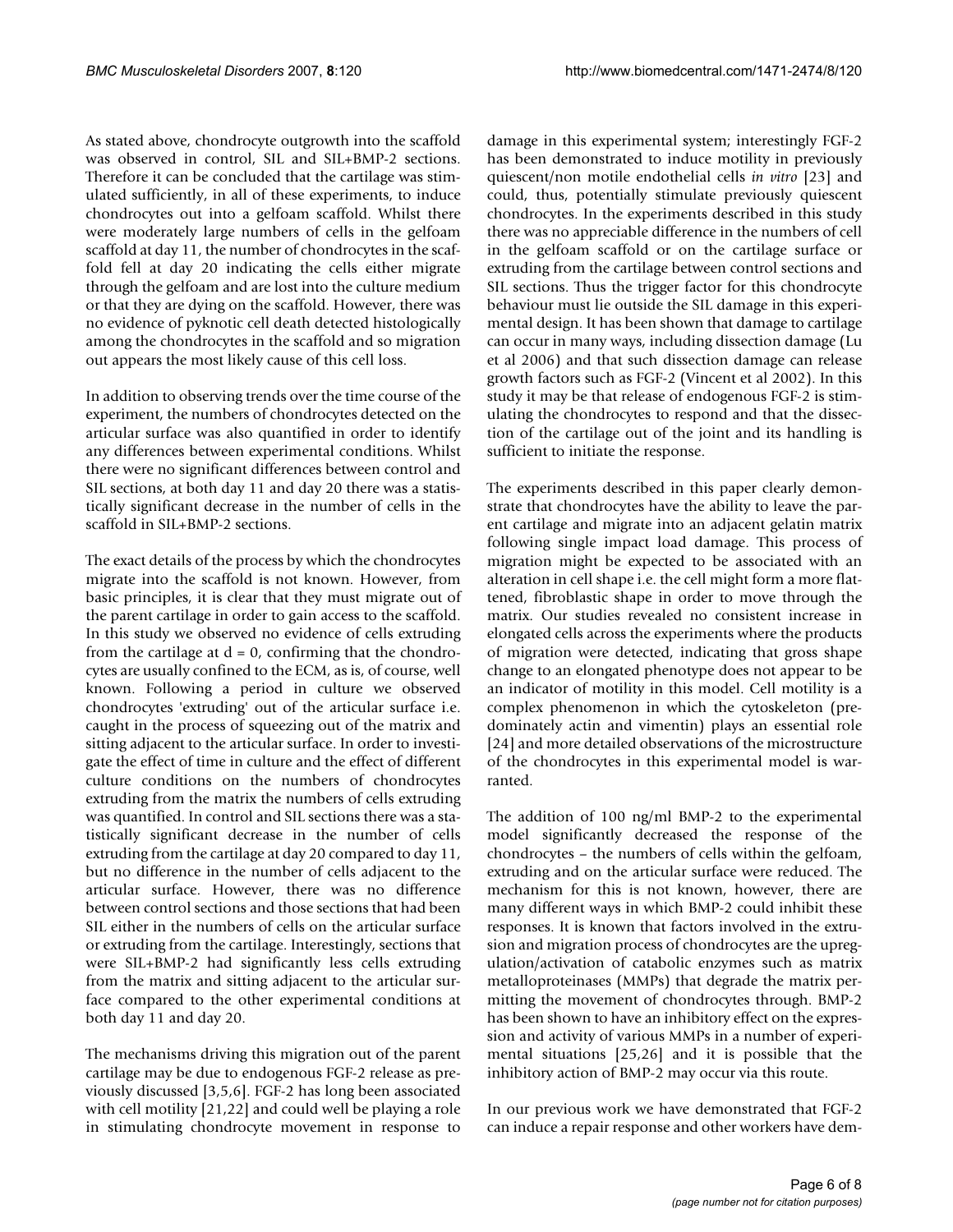As stated above, chondrocyte outgrowth into the scaffold was observed in control, SIL and SIL+BMP-2 sections. Therefore it can be concluded that the cartilage was stimulated sufficiently, in all of these experiments, to induce chondrocytes out into a gelfoam scaffold. Whilst there were moderately large numbers of cells in the gelfoam scaffold at day 11, the number of chondrocytes in the scaffold fell at day 20 indicating the cells either migrate through the gelfoam and are lost into the culture medium or that they are dying on the scaffold. However, there was no evidence of pyknotic cell death detected histologically among the chondrocytes in the scaffold and so migration out appears the most likely cause of this cell loss.

In addition to observing trends over the time course of the experiment, the numbers of chondrocytes detected on the articular surface was also quantified in order to identify any differences between experimental conditions. Whilst there were no significant differences between control and SIL sections, at both day 11 and day 20 there was a statistically significant decrease in the number of cells in the scaffold in SIL+BMP-2 sections.

The exact details of the process by which the chondrocytes migrate into the scaffold is not known. However, from basic principles, it is clear that they must migrate out of the parent cartilage in order to gain access to the scaffold. In this study we observed no evidence of cells extruding from the cartilage at  $d = 0$ , confirming that the chondrocytes are usually confined to the ECM, as is, of course, well known. Following a period in culture we observed chondrocytes 'extruding' out of the articular surface i.e. caught in the process of squeezing out of the matrix and sitting adjacent to the articular surface. In order to investigate the effect of time in culture and the effect of different culture conditions on the numbers of chondrocytes extruding from the matrix the numbers of cells extruding was quantified. In control and SIL sections there was a statistically significant decrease in the number of cells extruding from the cartilage at day 20 compared to day 11, but no difference in the number of cells adjacent to the articular surface. However, there was no difference between control sections and those sections that had been SIL either in the numbers of cells on the articular surface or extruding from the cartilage. Interestingly, sections that were SIL+BMP-2 had significantly less cells extruding from the matrix and sitting adjacent to the articular surface compared to the other experimental conditions at both day 11 and day 20.

The mechanisms driving this migration out of the parent cartilage may be due to endogenous FGF-2 release as previously discussed [3,5,6]. FGF-2 has long been associated with cell motility [21,22] and could well be playing a role in stimulating chondrocyte movement in response to damage in this experimental system; interestingly FGF-2 has been demonstrated to induce motility in previously quiescent/non motile endothelial cells *in vitro* [23] and could, thus, potentially stimulate previously quiescent chondrocytes. In the experiments described in this study there was no appreciable difference in the numbers of cell in the gelfoam scaffold or on the cartilage surface or extruding from the cartilage between control sections and SIL sections. Thus the trigger factor for this chondrocyte behaviour must lie outside the SIL damage in this experimental design. It has been shown that damage to cartilage can occur in many ways, including dissection damage (Lu et al 2006) and that such dissection damage can release growth factors such as FGF-2 (Vincent et al 2002). In this study it may be that release of endogenous FGF-2 is stimulating the chondrocytes to respond and that the dissection of the cartilage out of the joint and its handling is sufficient to initiate the response.

The experiments described in this paper clearly demonstrate that chondrocytes have the ability to leave the parent cartilage and migrate into an adjacent gelatin matrix following single impact load damage. This process of migration might be expected to be associated with an alteration in cell shape i.e. the cell might form a more flattened, fibroblastic shape in order to move through the matrix. Our studies revealed no consistent increase in elongated cells across the experiments where the products of migration were detected, indicating that gross shape change to an elongated phenotype does not appear to be an indicator of motility in this model. Cell motility is a complex phenomenon in which the cytoskeleton (predominately actin and vimentin) plays an essential role [24] and more detailed observations of the microstructure of the chondrocytes in this experimental model is warranted.

The addition of 100 ng/ml BMP-2 to the experimental model significantly decreased the response of the chondrocytes – the numbers of cells within the gelfoam, extruding and on the articular surface were reduced. The mechanism for this is not known, however, there are many different ways in which BMP-2 could inhibit these responses. It is known that factors involved in the extrusion and migration process of chondrocytes are the upregulation/activation of catabolic enzymes such as matrix metalloproteinases (MMPs) that degrade the matrix permitting the movement of chondrocytes through. BMP-2 has been shown to have an inhibitory effect on the expression and activity of various MMPs in a number of experimental situations [25,26] and it is possible that the inhibitory action of BMP-2 may occur via this route.

In our previous work we have demonstrated that FGF-2 can induce a repair response and other workers have dem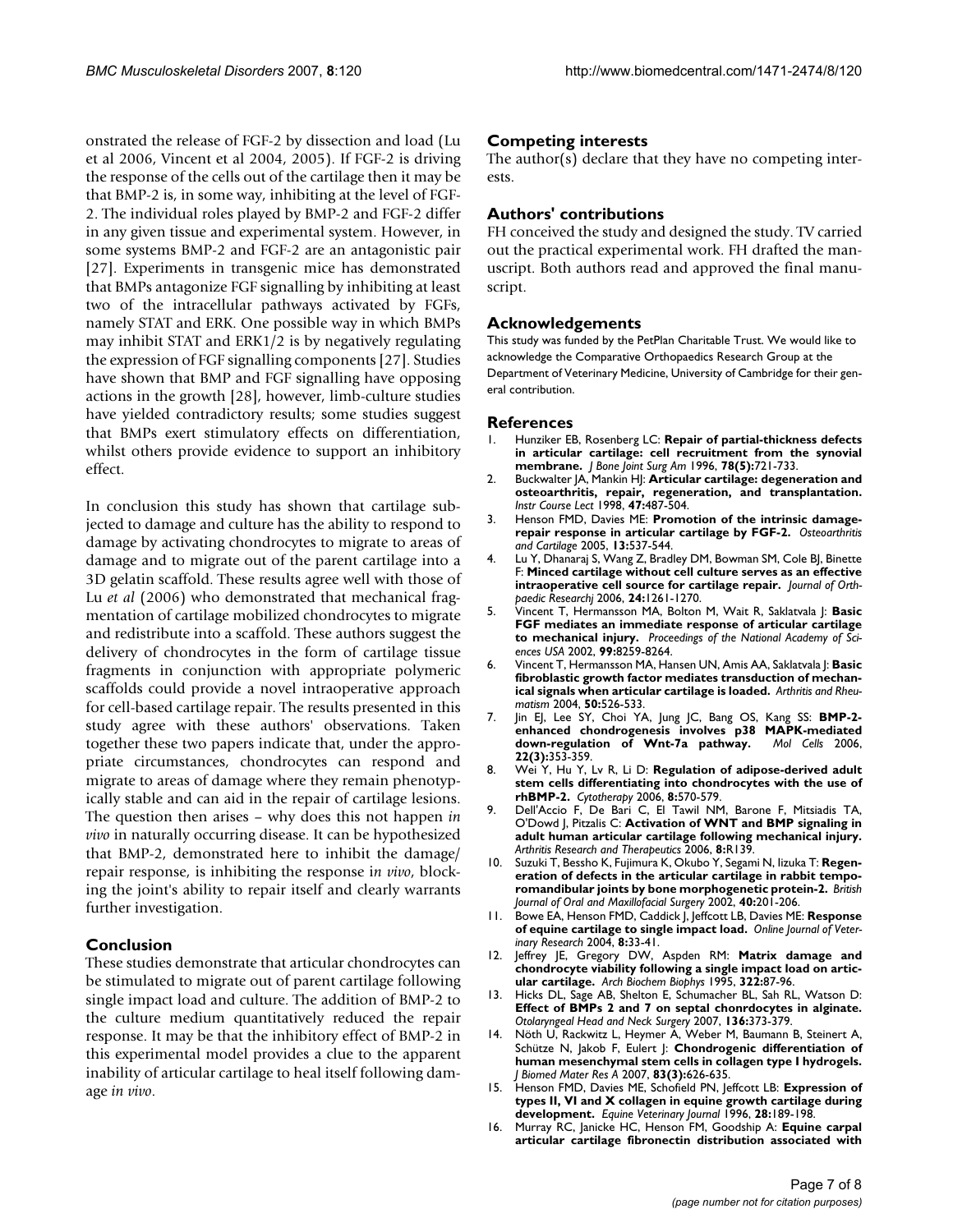onstrated the release of FGF-2 by dissection and load (Lu et al 2006, Vincent et al 2004, 2005). If FGF-2 is driving the response of the cells out of the cartilage then it may be that BMP-2 is, in some way, inhibiting at the level of FGF-2. The individual roles played by BMP-2 and FGF-2 differ in any given tissue and experimental system. However, in some systems BMP-2 and FGF-2 are an antagonistic pair [27]. Experiments in transgenic mice has demonstrated that BMPs antagonize FGF signalling by inhibiting at least two of the intracellular pathways activated by FGFs, namely STAT and ERK. One possible way in which BMPs may inhibit STAT and ERK1/2 is by negatively regulating the expression of FGF signalling components [27]. Studies have shown that BMP and FGF signalling have opposing actions in the growth [28], however, limb-culture studies have yielded contradictory results; some studies suggest that BMPs exert stimulatory effects on differentiation, whilst others provide evidence to support an inhibitory effect.

In conclusion this study has shown that cartilage subjected to damage and culture has the ability to respond to damage by activating chondrocytes to migrate to areas of damage and to migrate out of the parent cartilage into a 3D gelatin scaffold. These results agree well with those of Lu *et al* (2006) who demonstrated that mechanical fragmentation of cartilage mobilized chondrocytes to migrate and redistribute into a scaffold. These authors suggest the delivery of chondrocytes in the form of cartilage tissue fragments in conjunction with appropriate polymeric scaffolds could provide a novel intraoperative approach for cell-based cartilage repair. The results presented in this study agree with these authors' observations. Taken together these two papers indicate that, under the appropriate circumstances, chondrocytes can respond and migrate to areas of damage where they remain phenotypically stable and can aid in the repair of cartilage lesions. The question then arises – why does this not happen *in vivo* in naturally occurring disease. It can be hypothesized that BMP-2, demonstrated here to inhibit the damage/ repair response, is inhibiting the response i*n vivo*, blocking the joint's ability to repair itself and clearly warrants further investigation.

# **Conclusion**

These studies demonstrate that articular chondrocytes can be stimulated to migrate out of parent cartilage following single impact load and culture. The addition of BMP-2 to the culture medium quantitatively reduced the repair response. It may be that the inhibitory effect of BMP-2 in this experimental model provides a clue to the apparent inability of articular cartilage to heal itself following damage *in vivo*.

# **Competing interests**

The author(s) declare that they have no competing interests.

# **Authors' contributions**

FH conceived the study and designed the study. TV carried out the practical experimental work. FH drafted the manuscript. Both authors read and approved the final manuscript.

### **Acknowledgements**

This study was funded by the PetPlan Charitable Trust. We would like to acknowledge the Comparative Orthopaedics Research Group at the Department of Veterinary Medicine, University of Cambridge for their general contribution.

#### **References**

- 1. Hunziker EB, Rosenberg LC: **[Repair of partial-thickness defects](http://www.ncbi.nlm.nih.gov/entrez/query.fcgi?cmd=Retrieve&db=PubMed&dopt=Abstract&list_uids=8642029) [in articular cartilage: cell recruitment from the synovial](http://www.ncbi.nlm.nih.gov/entrez/query.fcgi?cmd=Retrieve&db=PubMed&dopt=Abstract&list_uids=8642029) [membrane.](http://www.ncbi.nlm.nih.gov/entrez/query.fcgi?cmd=Retrieve&db=PubMed&dopt=Abstract&list_uids=8642029)** *J Bone Joint Surg Am* 1996, **78(5):**721-733.
- 2. Buckwalter JA, Mankin HJ: **[Articular cartilage: degeneration and](http://www.ncbi.nlm.nih.gov/entrez/query.fcgi?cmd=Retrieve&db=PubMed&dopt=Abstract&list_uids=9571450) [osteoarthritis, repair, regeneration, and transplantation.](http://www.ncbi.nlm.nih.gov/entrez/query.fcgi?cmd=Retrieve&db=PubMed&dopt=Abstract&list_uids=9571450)** *Instr Course Lect* 1998, **47:**487-504.
- 3. Henson FMD, Davies ME: **Promotion of the intrinsic damagerepair response in articular cartilage by FGF-2.** *Osteoarthritis and Cartilage* 2005, **13:**537-544.
- 4. Lu Y, Dhanaraj S, Wang Z, Bradley DM, Bowman SM, Cole BJ, Binette F: **Minced cartilage without cell culture serves as an effective intraoperative cell source for cartilage repair.** *Journal of Orthpaedic Researchj* 2006, **24:**1261-1270.
- 5. Vincent T, Hermansson MA, Bolton M, Wait R, Saklatvala J: **Basic FGF mediates an immediate response of articular cartilage to mechanical injury.** *Proceedings of the National Academy of Sciences USA* 2002, **99:**8259-8264.
- 6. Vincent T, Hermansson MA, Hansen UN, Amis AA, Saklatvala J: **Basic fibroblastic growth factor mediates transduction of mechanical signals when articular cartilage is loaded.** *Arthritis and Rheumatism* 2004, **50:**526-533.
- 7. Jin EJ, Lee SY, Choi YA, Jung JC, Bang OS, Kang SS: **[BMP-2](http://www.ncbi.nlm.nih.gov/entrez/query.fcgi?cmd=Retrieve&db=PubMed&dopt=Abstract&list_uids=17202865) [enhanced chondrogenesis involves p38 MAPK-mediated](http://www.ncbi.nlm.nih.gov/entrez/query.fcgi?cmd=Retrieve&db=PubMed&dopt=Abstract&list_uids=17202865)** [down-regulation of Wnt-7a pathway.](http://www.ncbi.nlm.nih.gov/entrez/query.fcgi?cmd=Retrieve&db=PubMed&dopt=Abstract&list_uids=17202865) **22(3):**353-359.
- 8. Wei Y, Hu Y, Lv R, Li D: **[Regulation of adipose-derived adult](http://www.ncbi.nlm.nih.gov/entrez/query.fcgi?cmd=Retrieve&db=PubMed&dopt=Abstract&list_uids=17148034) [stem cells differentiating into chondrocytes with the use of](http://www.ncbi.nlm.nih.gov/entrez/query.fcgi?cmd=Retrieve&db=PubMed&dopt=Abstract&list_uids=17148034) [rhBMP-2.](http://www.ncbi.nlm.nih.gov/entrez/query.fcgi?cmd=Retrieve&db=PubMed&dopt=Abstract&list_uids=17148034)** *Cytotherapy* 2006, **8:**570-579.
- 9. Dell'Accio F, De Bari C, El Tawil NM, Barone F, Mitsiadis TA, O'Dowd J, Pitzalis C: **Activation of WNT and BMP signaling in adult human articular cartilage following mechanical injury.** *Arthritis Research and Therapeutics* 2006, **8:**R139.
- 10. Suzuki T, Bessho K, Fujimura K, Okubo Y, Segami N, Iizuka T: **Regeneration of defects in the articular cartilage in rabbit temporomandibular joints by bone morphogenetic protein-2.** *British Journal of Oral and Maxillofacial Surgery* 2002, **40:**201-206.
- 11. Bowe EA, Henson FMD, Caddick J, Jeffcott LB, Davies ME: **Response of equine cartilage to single impact load.** *Online Journal of Veterinary Research* 2004, **8:**33-41.
- 12. Jeffrey JE, Gregory DW, Aspden RM: **[Matrix damage and](http://www.ncbi.nlm.nih.gov/entrez/query.fcgi?cmd=Retrieve&db=PubMed&dopt=Abstract&list_uids=7574698) [chondrocyte viability following a single impact load on artic](http://www.ncbi.nlm.nih.gov/entrez/query.fcgi?cmd=Retrieve&db=PubMed&dopt=Abstract&list_uids=7574698)[ular cartilage.](http://www.ncbi.nlm.nih.gov/entrez/query.fcgi?cmd=Retrieve&db=PubMed&dopt=Abstract&list_uids=7574698)** *Arch Biochem Biophys* 1995, **322:**87-96.
- 13. Hicks DL, Sage AB, Shelton E, Schumacher BL, Sah RL, Watson D: **Effect of BMPs 2 and 7 on septal chonrdocytes in alginate.** *Otolaryngeal Head and Neck Surgery* 2007, **136:**373-379.
- 14. Nöth U, Rackwitz L, Heymer A, Weber M, Baumann B, Steinert A, Schütze N, Jakob F, Eulert J: **[Chondrogenic differentiation of](http://www.ncbi.nlm.nih.gov/entrez/query.fcgi?cmd=Retrieve&db=PubMed&dopt=Abstract&list_uids=17503531) [human mesenchymal stem cells in collagen type I hydrogels.](http://www.ncbi.nlm.nih.gov/entrez/query.fcgi?cmd=Retrieve&db=PubMed&dopt=Abstract&list_uids=17503531)** *J Biomed Mater Res A* 2007, **83(3):**626-635.
- 15. Henson FMD, Davies ME, Schofield PN, Jeffcott LB: **Expression of types II, VI and X collagen in equine growth cartilage during development.** *Equine Veterinary Journal* 1996, **28:**189-198.
- 16. Murray RC, Janicke HC, Henson FM, Goodship A: **[Equine carpal](http://www.ncbi.nlm.nih.gov/entrez/query.fcgi?cmd=Retrieve&db=PubMed&dopt=Abstract&list_uids=10661385) [articular cartilage fibronectin distribution associated with](http://www.ncbi.nlm.nih.gov/entrez/query.fcgi?cmd=Retrieve&db=PubMed&dopt=Abstract&list_uids=10661385)**